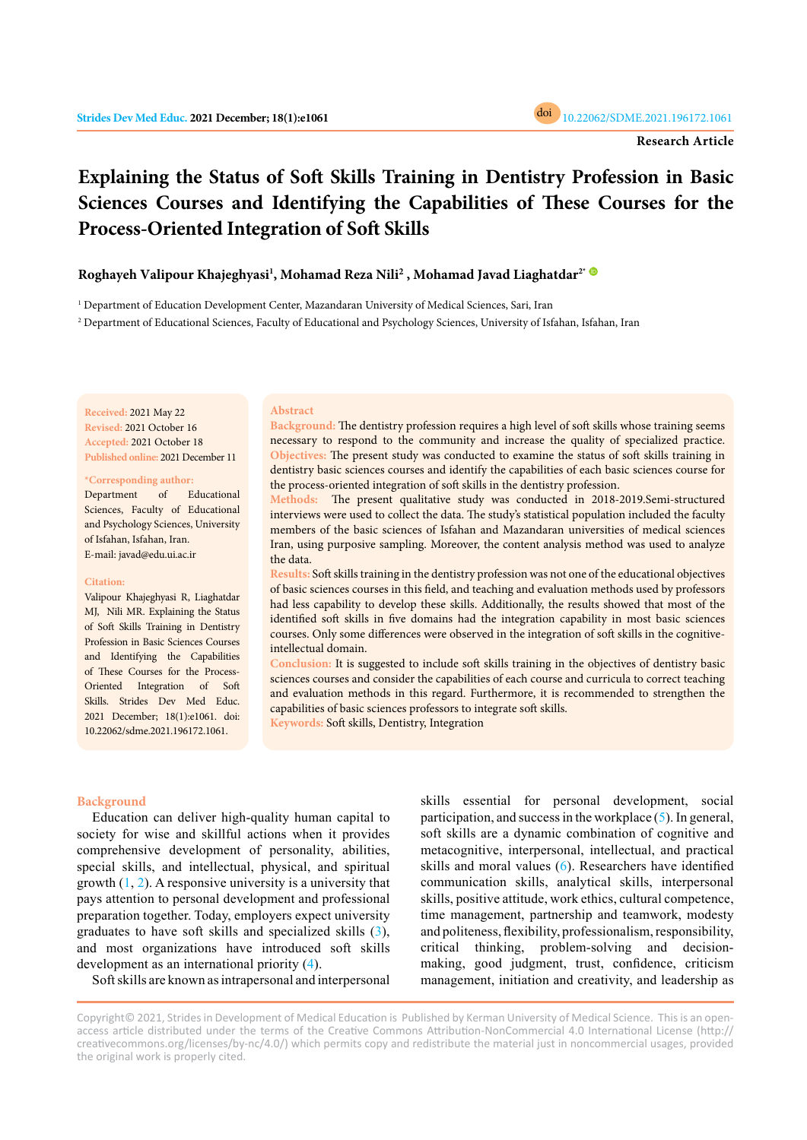

# **Explaining the Status of Soft Skills Training in Dentistry Profession in Basic Sciences Courses and Identifying the Capabilities of These Courses for the Process-Oriented Integration of Soft Skills**

**Roghayeh Valipour Khajeghyasi<sup>1</sup> , Mohamad Reza Nili<sup>2</sup> , Mohamad Javad Liaghatdar2\*** 

1 Department of Education Development Center, Mazandaran University of Medical Sciences, Sari, Iran

2 Department of Educational Sciences, Faculty of Educational and Psychology Sciences, University of Isfahan, Isfahan, Iran

**Received:** 2021 May 22 **Revised:** 2021 October 16 **Accepted:** 2021 October 18 **Published online:** 2021 December 11

**\*Corresponding author:**

Department of Educational Sciences, Faculty of Educational and Psychology Sciences, University of Isfahan, Isfahan, Iran. E-mail: javad@edu.ui.ac.ir

#### **Citation:**

Valipour Khajeghyasi R, Liaghatdar MJ, Nili MR. Explaining the Status of Soft Skills Training in Dentistry Profession in Basic Sciences Courses and Identifying the Capabilities of These Courses for the Process-Oriented Integration of Soft Skills. Strides Dev Med Educ. 2021 December; 18(1):e1061. doi: 10.22062/sdme.2021.196172.1061.

## **Abstract**

**Background:** The dentistry profession requires a high level of soft skills whose training seems necessary to respond to the community and increase the quality of specialized practice. **Objectives:** The present study was conducted to examine the status of soft skills training in dentistry basic sciences courses and identify the capabilities of each basic sciences course for the process-oriented integration of soft skills in the dentistry profession.

**Methods:** The present qualitative study was conducted in 2018-2019.Semi-structured interviews were used to collect the data. The study's statistical population included the faculty members of the basic sciences of Isfahan and Mazandaran universities of medical sciences Iran, using purposive sampling. Moreover, the content analysis method was used to analyze the data.

**Results:** Soft skills training in the dentistry profession was not one of the educational objectives of basic sciences courses in this field, and teaching and evaluation methods used by professors had less capability to develop these skills. Additionally, the results showed that most of the identified soft skills in five domains had the integration capability in most basic sciences courses. Only some differences were observed in the integration of soft skills in the cognitiveintellectual domain.

**Conclusion:** It is suggested to include soft skills training in the objectives of dentistry basic sciences courses and consider the capabilities of each course and curricula to correct teaching and evaluation methods in this regard. Furthermore, it is recommended to strengthen the capabilities of basic sciences professors to integrate soft skills. **Keywords:** Soft skills, Dentistry, Integration

#### **Background**

Education can deliver high-quality human capital to society for wise and skillful actions when it provides comprehensive development of personality, abilities, special skills, and intellectual, physical, and spiritual growth  $(1, 2)$ . A responsive university is a university that pays attention to personal development and professional preparation together. Today, employers expect university graduates to have soft skills and specialized skills ([3\)](#page-6-0), and most organizations have introduced soft skills development as an international priority ([4\)](#page-6-0).

Soft skills are known as intrapersonal and interpersonal

skills essential for personal development, social participation, and success in the workplace ([5](#page-6-0)). In general, soft skills are a dynamic combination of cognitive and metacognitive, interpersonal, intellectual, and practical skills and moral values [\(6](#page-6-0)). Researchers have identified communication skills, analytical skills, interpersonal skills, positive attitude, work ethics, cultural competence, time management, partnership and teamwork, modesty and politeness, flexibility, professionalism, responsibility, critical thinking, problem-solving and decisionmaking, good judgment, trust, confidence, criticism management, initiation and creativity, and leadership as

Copyright© 2021, Strides in Development of Medical Education is Published by Kerman University of Medical Science. This is an openaccess article distributed under the terms of the Creative Commons Attribution-NonCommercial 4.0 International License (http:// creativecommons.org/licenses/by-nc/4.0/) which permits copy and redistribute the material just in noncommercial usages, provided the original work is properly cited.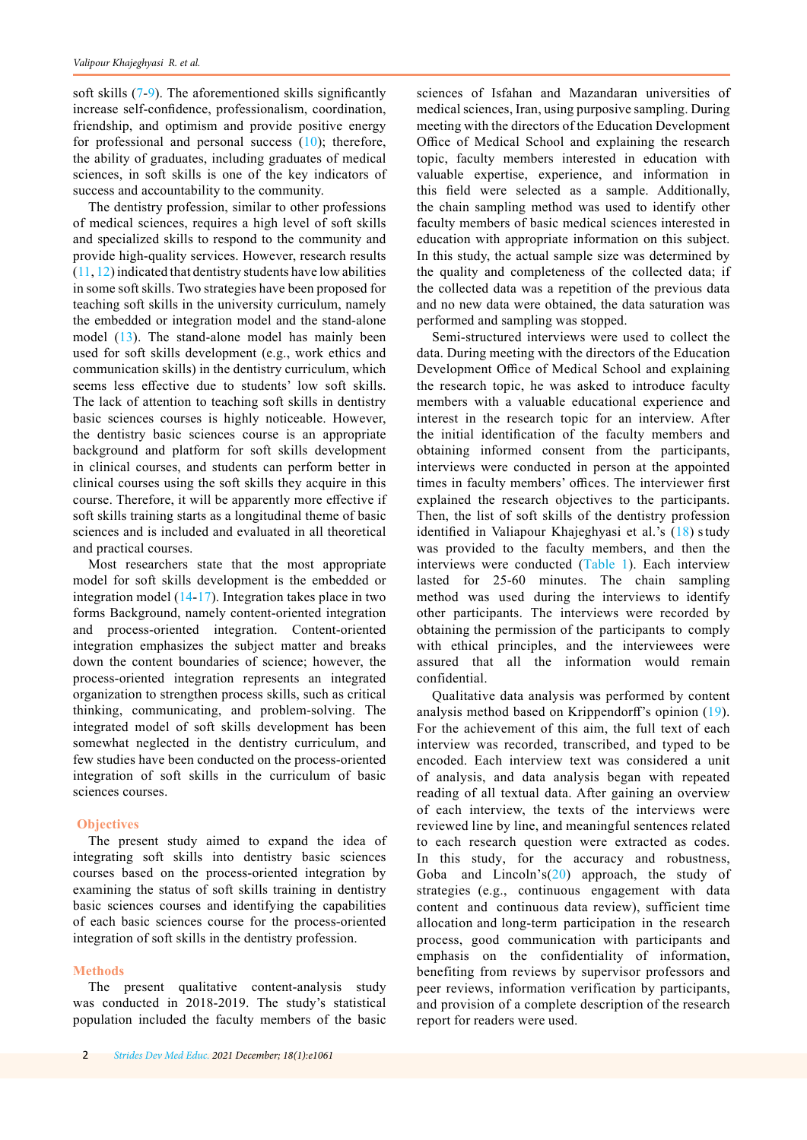soft skills ([7-9](#page-6-0)). The aforementioned skills significantly increase self-confidence, professionalism, coordination, friendship, and optimism and provide positive energy for professional and personal success  $(10)$  $(10)$  $(10)$ ; therefore, the ability of graduates, including graduates of medical sciences, in soft skills is one of the key indicators of success and accountability to the community.

The dentistry profession, similar to other professions of medical sciences, requires a high level of soft skills and specialized skills to respond to the community and provide high-quality services. However, research results  $(11, 12)$  $(11, 12)$  $(11, 12)$  $(11, 12)$  indicated that dentistry students have low abilities in some soft skills. Two strategies have been proposed for teaching soft skills in the university curriculum, namely the embedded or integration model and the stand-alone model ([13](#page-6-0)). The stand-alone model has mainly been used for soft skills development (e.g., work ethics and communication skills) in the dentistry curriculum, which seems less effective due to students' low soft skills. The lack of attention to teaching soft skills in dentistry basic sciences courses is highly noticeable. However, the dentistry basic sciences course is an appropriate background and platform for soft skills development in clinical courses, and students can perform better in clinical courses using the soft skills they acquire in this course. Therefore, it will be apparently more effective if soft skills training starts as a longitudinal theme of basic sciences and is included and evaluated in all theoretical and practical courses.

Most researchers state that the most appropriate model for soft skills development is the embedded or integration model ([14](#page-6-0)-[17\)](#page-7-0). Integration takes place in two forms Background, namely content-oriented integration and process-oriented integration. Content-oriented integration emphasizes the subject matter and breaks down the content boundaries of science; however, the process-oriented integration represents an integrated organization to strengthen process skills, such as critical thinking, communicating, and problem-solving. The integrated model of soft skills development has been somewhat neglected in the dentistry curriculum, and few studies have been conducted on the process-oriented integration of soft skills in the curriculum of basic sciences courses.

### **Objectives**

The present study aimed to expand the idea of integrating soft skills into dentistry basic sciences courses based on the process-oriented integration by examining the status of soft skills training in dentistry basic sciences courses and identifying the capabilities of each basic sciences course for the process-oriented integration of soft skills in the dentistry profession.

### **Methods**

The present qualitative content-analysis study was conducted in 2018-2019. The study's statistical population included the faculty members of the basic

sciences of Isfahan and Mazandaran universities of medical sciences, Iran, using purposive sampling. During meeting with the directors of the Education Development Office of Medical School and explaining the research topic, faculty members interested in education with valuable expertise, experience, and information in this field were selected as a sample. Additionally, the chain sampling method was used to identify other faculty members of basic medical sciences interested in education with appropriate information on this subject. In this study, the actual sample size was determined by the quality and completeness of the collected data; if the collected data was a repetition of the previous data and no new data were obtained, the data saturation was performed and sampling was stopped.

Semi-structured interviews were used to collect the data. During meeting with the directors of the Education Development Office of Medical School and explaining the research topic, he was asked to introduce faculty members with a valuable educational experience and interest in the research topic for an interview. After the initial identification of the faculty members and obtaining informed consent from the participants, interviews were conducted in person at the appointed times in faculty members' offices. The interviewer first explained the research objectives to the participants. Then, the list of soft skills of the dentistry profession identified in Valiapour Khajeghyasi et al.'s ([18\)](#page-6-0) s tudy was provided to the faculty members, and then the interviews were conducted [\(Table 1\)](#page-2-0). Each interview lasted for 25-60 minutes. The chain sampling method was used during the interviews to identify other participants. The interviews were recorded by obtaining the permission of the participants to comply with ethical principles, and the interviewees were assured that all the information would remain confidential.

Qualitative data analysis was performed by content analysis method based on Krippendorff's opinion ([19\)](#page-7-0). For the achievement of this aim, the full text of each interview was recorded, transcribed, and typed to be encoded. Each interview text was considered a unit of analysis, and data analysis began with repeated reading of all textual data. After gaining an overview of each interview, the texts of the interviews were reviewed line by line, and meaningful sentences related to each research question were extracted as codes. In this study, for the accuracy and robustness, Goba and Lincoln's([20\)](#page-7-0) approach, the study of strategies (e.g., continuous engagement with data content and continuous data review), sufficient time allocation and long-term participation in the research process, good communication with participants and emphasis on the confidentiality of information, benefiting from reviews by supervisor professors and peer reviews, information verification by participants, and provision of a complete description of the research report for readers were used.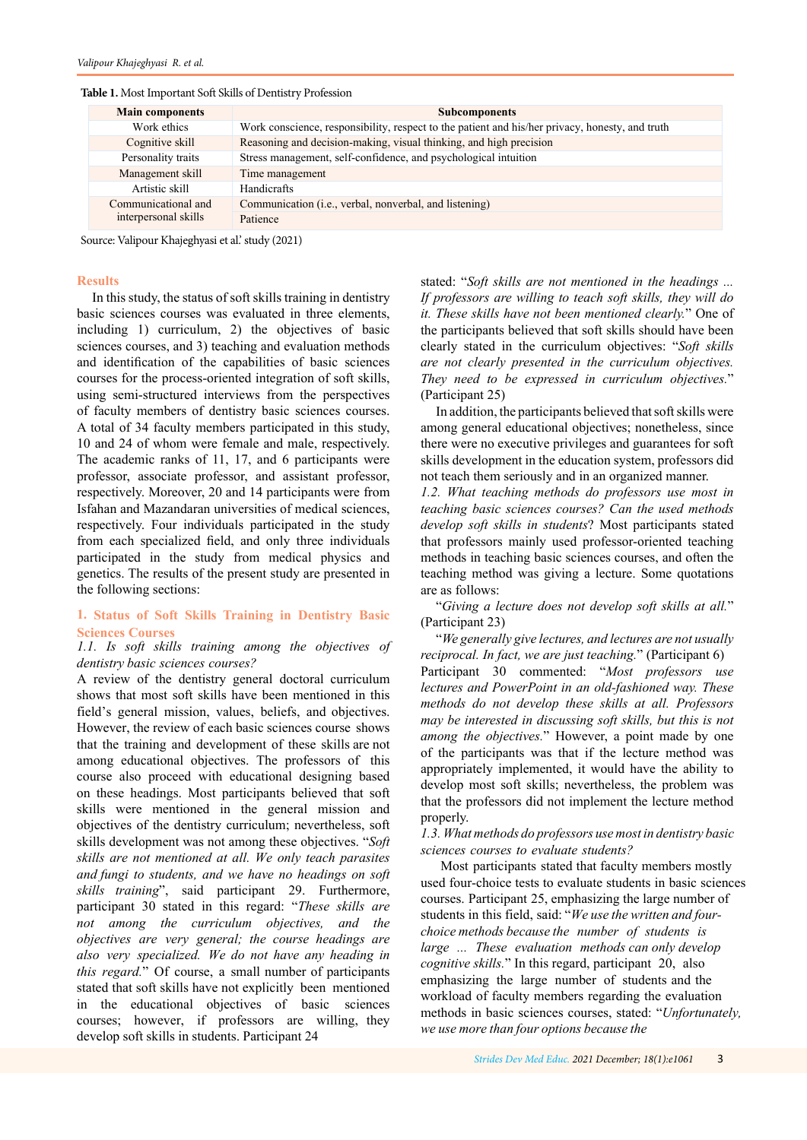<span id="page-2-0"></span>

| <b>Main components</b>                      | <b>Subcomponents</b>                                                                            |
|---------------------------------------------|-------------------------------------------------------------------------------------------------|
| Work ethics                                 | Work conscience, responsibility, respect to the patient and his/her privacy, honesty, and truth |
| Cognitive skill                             | Reasoning and decision-making, visual thinking, and high precision                              |
| Personality traits                          | Stress management, self-confidence, and psychological intuition                                 |
| Management skill                            | Time management                                                                                 |
| Artistic skill                              | <b>Handicrafts</b>                                                                              |
| Communicational and<br>interpersonal skills | Communication ( <i>i.e.</i> , verbal, nonverbal, and listening)                                 |
|                                             | Patience                                                                                        |

Source: Valipour Khajeghyasi et al.' study (2021)

### **Results**

In this study, the status of soft skills training in dentistry basic sciences courses was evaluated in three elements, including 1) curriculum, 2) the objectives of basic sciences courses, and 3) teaching and evaluation methods and identification of the capabilities of basic sciences courses for the process-oriented integration of soft skills, using semi-structured interviews from the perspectives of faculty members of dentistry basic sciences courses. A total of 34 faculty members participated in this study, 10 and 24 of whom were female and male, respectively. The academic ranks of 11, 17, and 6 participants were professor, associate professor, and assistant professor, respectively. Moreover, 20 and 14 participants were from Isfahan and Mazandaran universities of medical sciences, respectively. Four individuals participated in the study from each specialized field, and only three individuals participated in the study from medical physics and genetics. The results of the present study are presented in the following sections:

# **1. Status of Soft Skills Training in Dentistry Basic Sciences Courses**

# *1.1. Is soft skills training among the objectives of dentistry basic sciences courses?*

A review of the dentistry general doctoral curriculum shows that most soft skills have been mentioned in this field's general mission, values, beliefs, and objectives. However, the review of each basic sciences course shows that the training and development of these skills are not among educational objectives. The professors of this course also proceed with educational designing based on these headings. Most participants believed that soft skills were mentioned in the general mission and objectives of the dentistry curriculum; nevertheless, soft skills development was not among these objectives. "*Soft skills are not mentioned at all. We only teach parasites and fungi to students, and we have no headings on soft skills training*", said participant 29. Furthermore, participant 30 stated in this regard: "*These skills are not among the curriculum objectives, and the objectives are very general; the course headings are also very specialized. We do not have any heading in this regard.*" Of course, a small number of participants stated that soft skills have not explicitly been mentioned in the educational objectives of basic sciences courses; however, if professors are willing, they develop soft skills in students. Participant 24

stated: "*Soft skills are not mentioned in the headings ... If professors are willing to teach soft skills, they will do it. These skills have not been mentioned clearly.*" One of the participants believed that soft skills should have been clearly stated in the curriculum objectives: "*Soft skills are not clearly presented in the curriculum objectives. They need to be expressed in curriculum objectives.*" (Participant 25)

In addition, the participants believed that soft skills were among general educational objectives; nonetheless, since there were no executive privileges and guarantees for soft skills development in the education system, professors did not teach them seriously and in an organized manner.

*1.2. What teaching methods do professors use most in teaching basic sciences courses? Can the used methods develop soft skills in students*? Most participants stated that professors mainly used professor-oriented teaching methods in teaching basic sciences courses, and often the teaching method was giving a lecture. Some quotations are as follows:

"*Giving a lecture does not develop soft skills at all.*" (Participant 23)

"*We generally give lectures, and lectures are not usually reciprocal. In fact, we are just teaching.*" (Participant 6) Participant 30 commented: "*Most professors use lectures and PowerPoint in an old-fashioned way. These methods do not develop these skills at all. Professors may be interested in discussing soft skills, but this is not among the objectives.*" However, a point made by one of the participants was that if the lecture method was appropriately implemented, it would have the ability to develop most soft skills; nevertheless, the problem was that the professors did not implement the lecture method properly.

*1.3. What methods do professors use most in dentistry basic sciences courses to evaluate students?*

Most participants stated that faculty members mostly used four-choice tests to evaluate students in basic sciences courses. Participant 25, emphasizing the large number of students in this field, said: "*We use the written and fourchoice methods because the number of students is large ... These evaluation methods can only develop cognitive skills.*" In this regard, participant 20, also emphasizing the large number of students and the workload of faculty members regarding the evaluation methods in basic sciences courses, stated: "*Unfortunately, we use more than four options because the*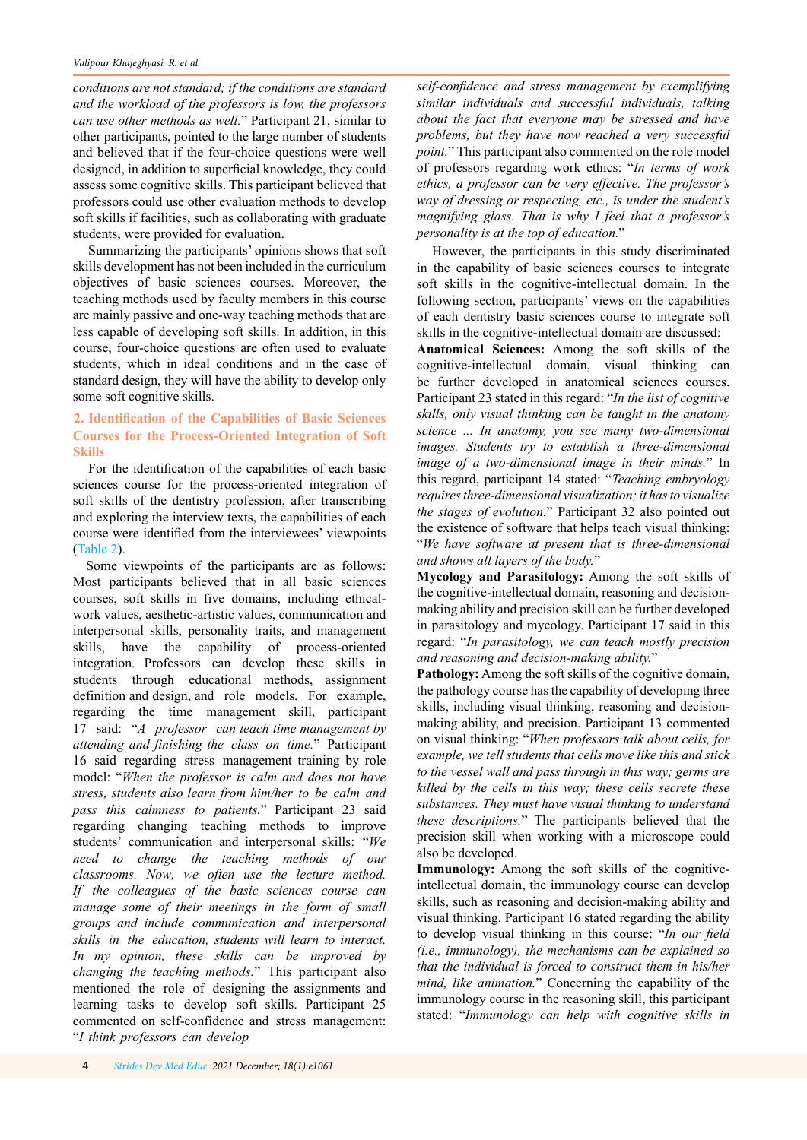*conditions are not standard; if the conditions are standard and the workload of the professors is low, the professors can use other methods as well.*" Participant 21, similar to other participants, pointed to the large number of students and believed that if the four-choice questions were well designed, in addition to superficial knowledge, they could assess some cognitive skills. This participant believed that professors could use other evaluation methods to develop soft skills if facilities, such as collaborating with graduate students, were provided for evaluation.

Summarizing the participants' opinions shows that soft skills development has not been included in the curriculum objectives of basic sciences courses. Moreover, the teaching methods used by faculty members in this course are mainly passive and one-way teaching methods that are less capable of developing soft skills. In addition, in this course, four-choice questions are often used to evaluate students, which in ideal conditions and in the case of standard design, they will have the ability to develop only some soft cognitive skills.

# **2. Identification of the Capabilities of Basic Sciences Courses for the Process-Oriented Integration of Soft Skills**

For the identification of the capabilities of each basic sciences course for the process-oriented integration of soft skills of the dentistry profession, after transcribing and exploring the interview texts, the capabilities of each course were identified from the interviewees' viewpoints [\(Table 2\)](#page-4-0).

 Some viewpoints of the participants are as follows: Most participants believed that in all basic sciences courses, soft skills in five domains, including ethicalwork values, aesthetic-artistic values, communication and interpersonal skills, personality traits, and management skills, have the capability of process-oriented integration. Professors can develop these skills in students through educational methods, assignment definition and design, and role models. For example, regarding the time management skill, participant 17 said: "*A professor can teach time management by attending and finishing the class on time.*" Participant 16 said regarding stress management training by role model: "*When the professor is calm and does not have stress, students also learn from him/her to be calm and pass this calmness to patients.*" Participant 23 said regarding changing teaching methods to improve students' communication and interpersonal skills: "*We need to change the teaching methods of our classrooms. Now, we often use the lecture method. If the colleagues of the basic sciences course can manage some of their meetings in the form of small groups and include communication and interpersonal skills in the education, students will learn to interact. In my opinion, these skills can be improved by changing the teaching methods.*" This participant also mentioned the role of designing the assignments and learning tasks to develop soft skills. Participant 25 commented on self-confidence and stress management: "*I think professors can develop* 

*self-confidence and stress management by exemplifying similar individuals and successful individuals, talking about the fact that everyone may be stressed and have problems, but they have now reached a very successful point.*" This participant also commented on the role model of professors regarding work ethics: "*In terms of work ethics, a professor can be very effective. The professor's way of dressing or respecting, etc., is under the student's magnifying glass. That is why I feel that a professor's personality is at the top of education.*"

However, the participants in this study discriminated in the capability of basic sciences courses to integrate soft skills in the cognitive-intellectual domain. In the following section, participants' views on the capabilities of each dentistry basic sciences course to integrate soft skills in the cognitive-intellectual domain are discussed:

**Anatomical Sciences:** Among the soft skills of the cognitive-intellectual domain, visual thinking can be further developed in anatomical sciences courses. Participant 23 stated in this regard: "*In the list of cognitive skills, only visual thinking can be taught in the anatomy science ... In anatomy, you see many two-dimensional images. Students try to establish a three-dimensional image of a two-dimensional image in their minds.*" In this regard, participant 14 stated: "*Teaching embryology requires three-dimensional visualization; it has to visualize the stages of evolution.*" Participant 32 also pointed out the existence of software that helps teach visual thinking: "*We have software at present that is three-dimensional and shows all layers of the body.*"

**Mycology and Parasitology:** Among the soft skills of the cognitive-intellectual domain, reasoning and decisionmaking ability and precision skill can be further developed in parasitology and mycology. Participant 17 said in this regard: "*In parasitology, we can teach mostly precision and reasoning and decision-making ability.*"

Pathology: Among the soft skills of the cognitive domain, the pathology course has the capability of developing three skills, including visual thinking, reasoning and decisionmaking ability, and precision. Participant 13 commented on visual thinking: "*When professors talk about cells, for example, we tell students that cells move like this and stick to the vessel wall and pass through in this way; germs are killed by the cells in this way; these cells secrete these substances. They must have visual thinking to understand these descriptions.*" The participants believed that the precision skill when working with a microscope could also be developed.

**Immunology:** Among the soft skills of the cognitiveintellectual domain, the immunology course can develop skills, such as reasoning and decision-making ability and visual thinking. Participant 16 stated regarding the ability to develop visual thinking in this course: "*In our field (i.e., immunology), the mechanisms can be explained so that the individual is forced to construct them in his/her mind, like animation.*" Concerning the capability of the immunology course in the reasoning skill, this participant stated: "*Immunology can help with cognitive skills in*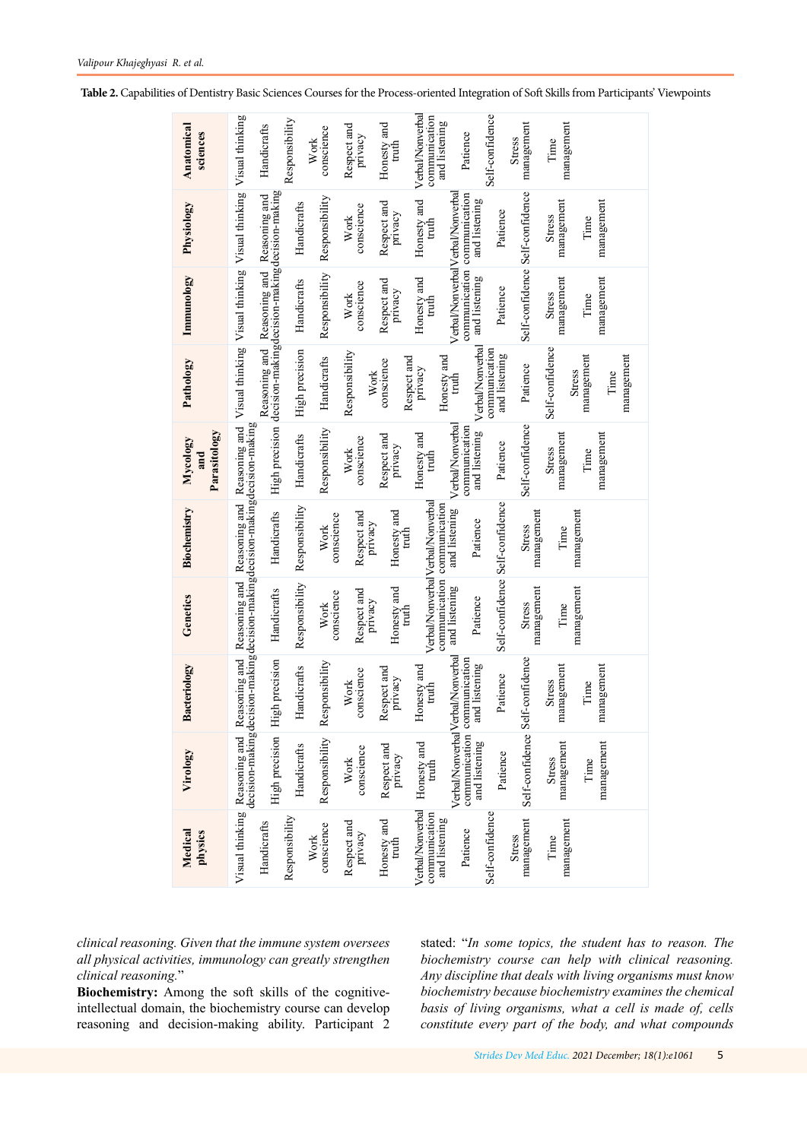<span id="page-4-0"></span>

|  | Table 2. Capabilities of Dentistry Basic Sciences Courses for the Process-oriented Integration of Soft Skills from Participants' Viewpoints |  |
|--|---------------------------------------------------------------------------------------------------------------------------------------------|--|
|  |                                                                                                                                             |  |

| Anatomical<br>sciences          |                                                                                                  | Handicrafts                                                  | Responsibility | conscience<br>Work | Respect and<br>privacy | Honesty and<br>truth      | Verbal/Nonverbal<br>communication<br>and listening              | Patience                                                                                      | Self-confidence                 | management<br><b>Stress</b>     | management<br>Time          |                                  |  |
|---------------------------------|--------------------------------------------------------------------------------------------------|--------------------------------------------------------------|----------------|--------------------|------------------------|---------------------------|-----------------------------------------------------------------|-----------------------------------------------------------------------------------------------|---------------------------------|---------------------------------|-----------------------------|----------------------------------|--|
| Physiology                      | Visual thinking Visual thinking Visual thinking Visual thinking                                  |                                                              | Handicrafts    | Responsibility     | conscience<br>Work     | Respect and<br>privacy    | Honesty and<br>truth                                            | communication communication<br>and listening                                                  | Patience                        | Self-confidence Self-confidence | management<br>Stress        | management<br>Time               |  |
| Immunology                      |                                                                                                  | Reasoning and Reasoning and Reasoning and                    | Handicrafts    | Responsibility     | conscience<br>Work     | Respect and<br>privacy    | Honesty and<br>truth                                            | Verbal/NonverbalVerbal/Nonverbal<br>and listening                                             | Patience                        |                                 | management<br><b>Stress</b> | management<br>Time               |  |
| Pathology                       |                                                                                                  | High precision decision-makingdecision-makingdecision-making | High precision | Handicrafts        | Responsibility<br>Work | Respect and<br>conscience | Honesty and<br>privacy                                          | Verbal/Nonverbal<br>truth                                                                     | communication<br>and listening  | Patience                        | Self-confidence<br>Stress   | management<br>management<br>Time |  |
| Parasitology<br>Mycology<br>and | Reasoning and                                                                                    |                                                              | Handicrafts    | Responsibility     | conscience<br>Work     | Respect and<br>privacy    | Honesty and<br>truth                                            | Verbal/Nonverbal<br>communication<br>and listening                                            | Patience                        | Self-confidence                 | management<br><b>Stress</b> | management<br>Time               |  |
| Biochemistry                    | Reasoning and                                                                                    | Handicrafts                                                  | Responsibility | conscience<br>Work | Respect and<br>privacy | Honesty and<br>truth      | Verbal/NonverbalVerbal/Nonverbal<br>communication communication | and listening<br>Patience                                                                     | Self-confidence Self-confidence | management<br><b>Stress</b>     | Time                        | management                       |  |
| Genetics                        | decision-making decision-making decision-making decision-making decision-making<br>Reasoning and | Handicrafts                                                  | Responsibility | conscience<br>Work | Respect and<br>privacy | Honesty and<br>truth      |                                                                 | and listening<br>Patience                                                                     |                                 | management<br>Stress            | Time                        | management                       |  |
| <b>Bacteriology</b>             | Visual thinking Reasoning and Reasoning and                                                      | igh precision                                                | Handicrafts    | Responsibility     | conscience<br>Work     | Respect and<br>privacy    | Jonesty and<br>truth                                            | Verbal/Nonverbal <sup>V</sup> erbal/Nonverbal<br>communication communication<br>and listening | Patience                        | lf-confidence                   | management<br><b>Stress</b> | management<br>Time               |  |
| Virology                        |                                                                                                  | High precision Hi                                            | Handicrafts    | Responsibility     | conscience<br>Work     | Respect and<br>privacy    | $H$ onesty and truth                                            | and listening                                                                                 | Patience                        | Self-confidence Se              | management<br>Stress        | management<br>Time               |  |
| Medical<br>physics              |                                                                                                  | Handicrafts                                                  | Responsibility | conscience<br>Work | Respect and<br>privacy | Honesty and<br>truth      | <b>Verbal/Nonverbal</b><br>communication<br>and listening       | Patience                                                                                      | Self-confidence                 | management<br>Stress            | management<br>Time          |                                  |  |

*clinical reasoning. Given that the immune system oversees all physical activities, immunology can greatly strengthen clinical reasoning.*"

**Biochemistry:** Among the soft skills of the cognitiveintellectual domain, the biochemistry course can develop reasoning and decision-making ability. Participant 2

stated: "*In some topics, the student has to reason. The biochemistry course can help with clinical reasoning. Any discipline that deals with living organisms must know biochemistry because biochemistry examines the chemical basis of living organisms, what a cell is made of, cells constitute every part of the body, and what compounds*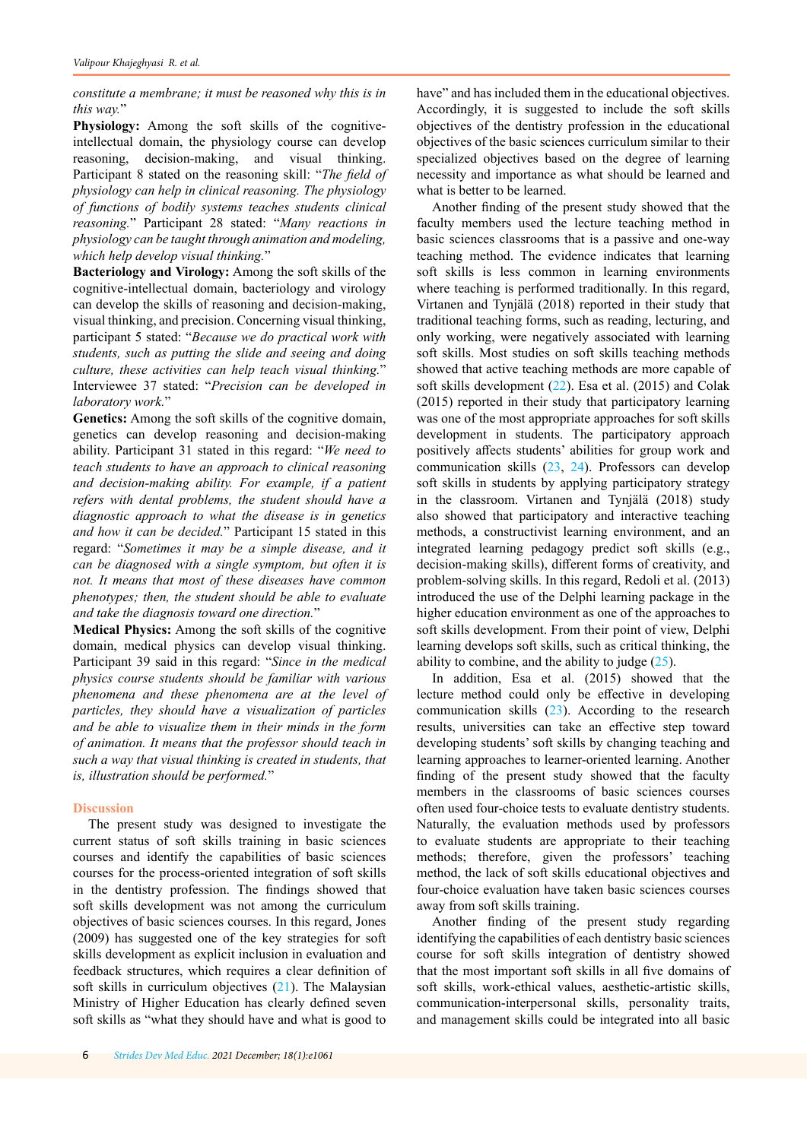*constitute a membrane; it must be reasoned why this is in this way.*"

**Physiology:** Among the soft skills of the cognitiveintellectual domain, the physiology course can develop reasoning, decision-making, and visual thinking. Participant 8 stated on the reasoning skill: "*The field of physiology can help in clinical reasoning. The physiology of functions of bodily systems teaches students clinical reasoning.*" Participant 28 stated: "*Many reactions in physiology can be taught through animation and modeling, which help develop visual thinking.*"

**Bacteriology and Virology:** Among the soft skills of the cognitive-intellectual domain, bacteriology and virology can develop the skills of reasoning and decision-making, visual thinking, and precision. Concerning visual thinking, participant 5 stated: "*Because we do practical work with students, such as putting the slide and seeing and doing culture, these activities can help teach visual thinking.*" Interviewee 37 stated: "*Precision can be developed in laboratory work.*"

**Genetics:** Among the soft skills of the cognitive domain, genetics can develop reasoning and decision-making ability. Participant 31 stated in this regard: "*We need to teach students to have an approach to clinical reasoning and decision-making ability. For example, if a patient refers with dental problems, the student should have a diagnostic approach to what the disease is in genetics and how it can be decided.*" Participant 15 stated in this regard: "*Sometimes it may be a simple disease, and it can be diagnosed with a single symptom, but often it is not. It means that most of these diseases have common phenotypes; then, the student should be able to evaluate and take the diagnosis toward one direction.*"

**Medical Physics:** Among the soft skills of the cognitive domain, medical physics can develop visual thinking. Participant 39 said in this regard: "*Since in the medical physics course students should be familiar with various phenomena and these phenomena are at the level of particles, they should have a visualization of particles and be able to visualize them in their minds in the form of animation. It means that the professor should teach in such a way that visual thinking is created in students, that is, illustration should be performed.*"

## **Discussion**

The present study was designed to investigate the current status of soft skills training in basic sciences courses and identify the capabilities of basic sciences courses for the process-oriented integration of soft skills in the dentistry profession. The findings showed that soft skills development was not among the curriculum objectives of basic sciences courses. In this regard, Jones (2009) has suggested one of the key strategies for soft skills development as explicit inclusion in evaluation and feedback structures, which requires a clear definition of soft skills in curriculum objectives [\(21](#page-7-0)). The Malaysian Ministry of Higher Education has clearly defined seven soft skills as "what they should have and what is good to

6 *[Strides Dev Med Educ.](http://sdme.kmu.ac.ir) 2021 December; 18(1):e1061*

have" and has included them in the educational objectives. Accordingly, it is suggested to include the soft skills objectives of the dentistry profession in the educational objectives of the basic sciences curriculum similar to their specialized objectives based on the degree of learning necessity and importance as what should be learned and what is better to be learned.

Another finding of the present study showed that the faculty members used the lecture teaching method in basic sciences classrooms that is a passive and one-way teaching method. The evidence indicates that learning soft skills is less common in learning environments where teaching is performed traditionally. In this regard, Virtanen and Tynjälä (2018) reported in their study that traditional teaching forms, such as reading, lecturing, and only working, were negatively associated with learning soft skills. Most studies on soft skills teaching methods showed that active teaching methods are more capable of soft skills development ([22\)](#page-7-0). Esa et al. (2015) and Colak (2015) reported in their study that participatory learning was one of the most appropriate approaches for soft skills development in students. The participatory approach positively affects students' abilities for group work and communication skills ([23,](#page-7-0) [24](#page-7-0)). Professors can develop soft skills in students by applying participatory strategy in the classroom. Virtanen and Tynjälä (2018) study also showed that participatory and interactive teaching methods, a constructivist learning environment, and an integrated learning pedagogy predict soft skills (e.g., decision-making skills), different forms of creativity, and problem-solving skills. In this regard, Redoli et al. (2013) introduced the use of the Delphi learning package in the higher education environment as one of the approaches to soft skills development. From their point of view, Delphi learning develops soft skills, such as critical thinking, the ability to combine, and the ability to judge  $(25)$  $(25)$ .

In addition, Esa et al. (2015) showed that the lecture method could only be effective in developing communication skills [\(23](#page-7-0)). According to the research results, universities can take an effective step toward developing students' soft skills by changing teaching and learning approaches to learner-oriented learning. Another finding of the present study showed that the faculty members in the classrooms of basic sciences courses often used four-choice tests to evaluate dentistry students. Naturally, the evaluation methods used by professors to evaluate students are appropriate to their teaching methods; therefore, given the professors' teaching method, the lack of soft skills educational objectives and four-choice evaluation have taken basic sciences courses away from soft skills training.

Another finding of the present study regarding identifying the capabilities of each dentistry basic sciences course for soft skills integration of dentistry showed that the most important soft skills in all five domains of soft skills, work-ethical values, aesthetic-artistic skills, communication-interpersonal skills, personality traits, and management skills could be integrated into all basic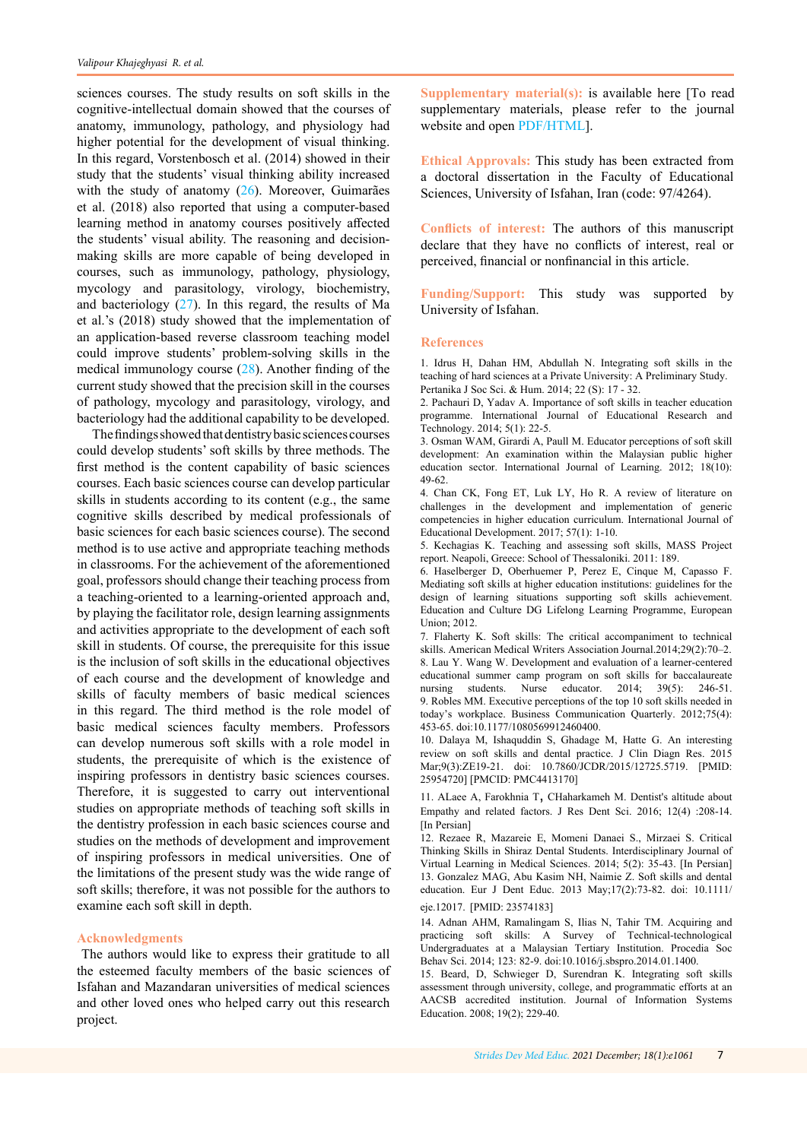<span id="page-6-0"></span>sciences courses. The study results on soft skills in the cognitive-intellectual domain showed that the courses of anatomy, immunology, pathology, and physiology had higher potential for the development of visual thinking. In this regard, Vorstenbosch et al. (2014) showed in their study that the students' visual thinking ability increased with the study of anatomy  $(26)$  $(26)$ . Moreover, Guimarães et al. (2018) also reported that using a computer-based learning method in anatomy courses positively affected the students' visual ability. The reasoning and decisionmaking skills are more capable of being developed in courses, such as immunology, pathology, physiology, mycology and parasitology, virology, biochemistry, and bacteriology ([27\)](#page-7-0). In this regard, the results of Ma et al.'s (2018) study showed that the implementation of an application-based reverse classroom teaching model could improve students' problem-solving skills in the medical immunology course [\(28](#page-7-0)). Another finding of the current study showed that the precision skill in the courses of pathology, mycology and parasitology, virology, and bacteriology had the additional capability to be developed.

The findings showed that dentistry basic sciences courses could develop students' soft skills by three methods. The first method is the content capability of basic sciences courses. Each basic sciences course can develop particular skills in students according to its content (e.g., the same cognitive skills described by medical professionals of basic sciences for each basic sciences course). The second method is to use active and appropriate teaching methods in classrooms. For the achievement of the aforementioned goal, professors should change their teaching process from a teaching-oriented to a learning-oriented approach and, by playing the facilitator role, design learning assignments and activities appropriate to the development of each soft skill in students. Of course, the prerequisite for this issue is the inclusion of soft skills in the educational objectives of each course and the development of knowledge and skills of faculty members of basic medical sciences in this regard. The third method is the role model of basic medical sciences faculty members. Professors can develop numerous soft skills with a role model in students, the prerequisite of which is the existence of inspiring professors in dentistry basic sciences courses. Therefore, it is suggested to carry out interventional studies on appropriate methods of teaching soft skills in the dentistry profession in each basic sciences course and studies on the methods of development and improvement of inspiring professors in medical universities. One of the limitations of the present study was the wide range of soft skills; therefore, it was not possible for the authors to examine each soft skill in depth.

### **Acknowledgments**

 The authors would like to express their gratitude to all the esteemed faculty members of the basic sciences of Isfahan and Mazandaran universities of medical sciences and other loved ones who helped carry out this research project.

**Supplementary material(s):** is available here [To read supplementary materials, please refer to the journal website and ope[n PDF/HTML\].](http://sdme.kmu.ac.ir/jufile?ar_sfile=815042)

**Ethical Approvals:** This study has been extracted from a doctoral dissertation in the Faculty of Educational Sciences, University of Isfahan, Iran (code: 97/4264).

**Conflicts of interest:** The authors of this manuscript declare that they have no conflicts of interest, real or perceived, financial or nonfinancial in this article.

**Funding/Support:** This study was supported by University of Isfahan.

### **References**

1. Idrus H, Dahan HM, Abdullah N. Integrating soft skills in the teaching of hard sciences at a Private University: A Preliminary Study. Pertanika J Soc Sci. & Hum. 2014; 22 (S): 17 - 32.

2. Pachauri D, Yadav A. Importance of soft skills in teacher education programme. International Journal of Educational Research and Technology. 2014; 5(1): 22-5.

3. Osman WAM, Girardi A, Paull M. Educator perceptions of soft skill development: An examination within the Malaysian public higher education sector. International Journal of Learning. 2012; 18(10): 49-62.

4. Chan CK, Fong ET, Luk LY, Ho R. A review of literature on challenges in the development and implementation of generic competencies in higher education curriculum. International Journal of Educational Development. 2017; 57(1): 1-10.

5. Kechagias K. Teaching and assessing soft skills, MASS Project report. Neapoli, Greece: School of Thessaloniki. 2011: 189.

6. Haselberger D, Oberhuemer P, Perez E, Cinque M, Capasso F. Mediating soft skills at higher education institutions: guidelines for the design of learning situations supporting soft skills achievement. Education and Culture DG Lifelong Learning Programme, European Union; 2012.

7. Flaherty K. Soft skills: The critical accompaniment to technical skills. American Medical Writers Association Journal.2014;29(2):70–2. 8. Lau Y. Wang W. Development and evaluation of a learner-centered educational summer camp program on soft skills for baccalaureate nursing students. Nurse educator. 2014; 39(5): 246-51. 9. Robles MM. Executive perceptions of the top 10 soft skills needed in today's workplace. Business Communication Quarterly. 2012;75(4): 453-65. doi:10.1177/1080569912460400.

10. Dalaya M, Ishaquddin S, Ghadage M, Hatte G. An interesting review on soft skills and dental practice. J Clin Diagn Res. 2015 Mar;9(3):ZE19-21. doi: 10.7860/JCDR/2015/12725.5719. [PMID: 25954720] [PMCID: PMC4413170]

11. ALaee A, Farokhnia T, CHaharkameh M. Dentist's altitude about Empathy and related factors. J Res Dent Sci. 2016; 12(4) :208-14. [In Persian]

12. Rezaee R, Mazareie E, Momeni Danaei S., Mirzaei S. Critical Thinking Skills in Shiraz Dental Students. Interdisciplinary Journal of Virtual Learning in Medical Sciences. 2014; 5(2): 35-43. [In Persian] 13. Gonzalez MAG, Abu Kasim NH, Naimie Z. Soft skills and dental education. Eur J Dent Educ. 2013 May;17(2):73-82. doi: 10.1111/

eje.12017. [PMID: 23574183]

14. Adnan AHM, Ramalingam S, Ilias N, Tahir TM. Acquiring and practicing soft skills: A Survey of Technical-technological Undergraduates at a Malaysian Tertiary Institution. Procedia Soc Behav Sci. 2014; 123: 82-9. doi:10.1016/j.sbspro.2014.01.1400.

15. Beard, D, Schwieger D, Surendran K. Integrating soft skills assessment through university, college, and programmatic efforts at an AACSB accredited institution. Journal of Information Systems Education. 2008; 19(2); 229-40.